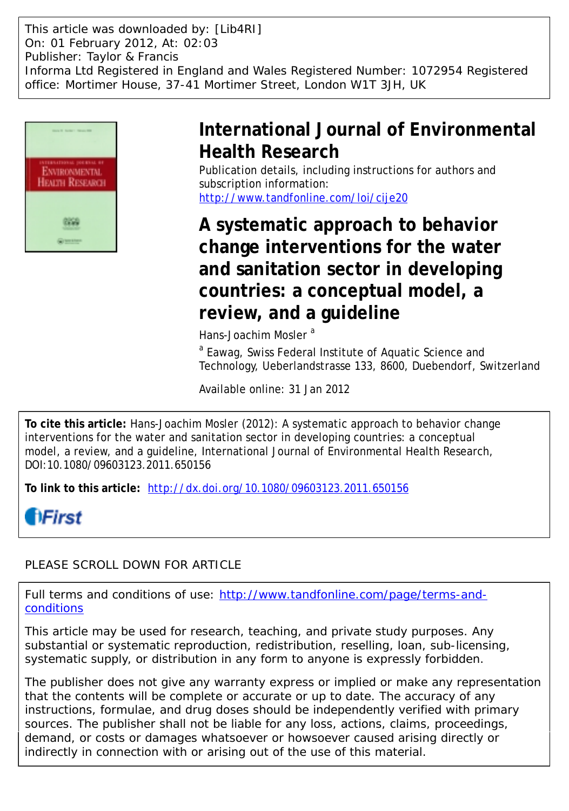This article was downloaded by: [Lib4RI] On: 01 February 2012, At: 02:03 Publisher: Taylor & Francis Informa Ltd Registered in England and Wales Registered Number: 1072954 Registered office: Mortimer House, 37-41 Mortimer Street, London W1T 3JH, UK



# **International Journal of Environmental Health Research**

Publication details, including instructions for authors and subscription information: <http://www.tandfonline.com/loi/cije20>

**A systematic approach to behavior change interventions for the water and sanitation sector in developing countries: a conceptual model, a review, and a guideline**

Hans-Joachim Mosler<sup>a</sup>

<sup>a</sup> Eawag, Swiss Federal Institute of Aquatic Science and Technology, Ueberlandstrasse 133, 8600, Duebendorf, Switzerland

Available online: 31 Jan 2012

**To cite this article:** Hans-Joachim Mosler (2012): A systematic approach to behavior change interventions for the water and sanitation sector in developing countries: a conceptual model, a review, and a guideline, International Journal of Environmental Health Research, DOI:10.1080/09603123.2011.650156

**To link to this article:** http://dx.doi.org/10.1080/09603123.2011.650156



PLEASE SCROLL DOWN FOR ARTICLE

Full terms and conditions of use: http://www.tandfonline.com/page/terms-andconditions

[This article](http://www.tandfonline.com/page/terms-and-conditions) may be used for research, teaching, and private study purposes. Any substantial or systematic reproduction, redistribution, reselling, loan, sub-licensing, systematic supply, or distribution in any form to anyone is expressly forbidden.

The publisher does not give any warranty express or implied or make any representation that the contents will be complete or accurate or up to date. The accuracy of any instructions, formulae, and drug doses should be independently verified with primary sources. The publisher shall not be liable for any loss, actions, claims, proceedings, demand, or costs or damages whatsoever or howsoever caused arising directly or indirectly in connection with or arising out of the use of this material.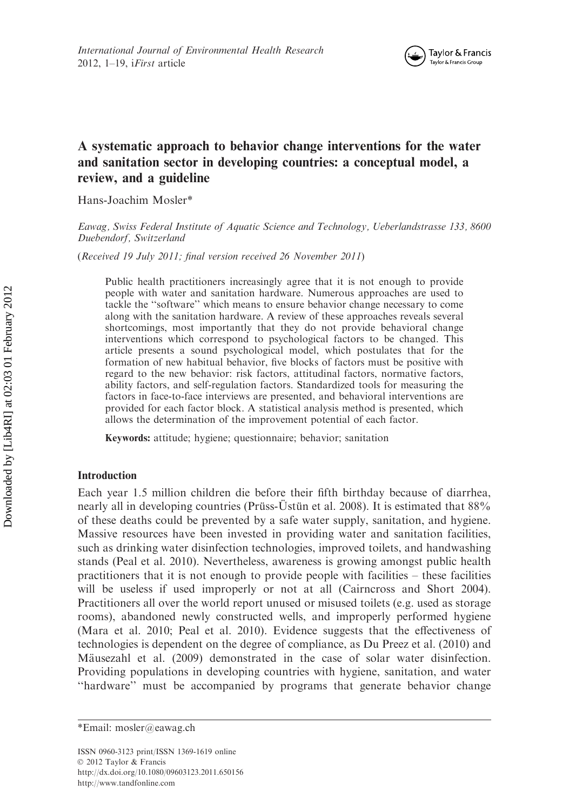

## A systematic approach to behavior change interventions for the water and sanitation sector in developing countries: a conceptual model, a review, and a guideline

Hans-Joachim Mosler\*

Eawag, Swiss Federal Institute of Aquatic Science and Technology, Ueberlandstrasse 133, 8600 Duebendorf, Switzerland

(Received 19 July 2011; final version received 26 November 2011)

Public health practitioners increasingly agree that it is not enough to provide people with water and sanitation hardware. Numerous approaches are used to tackle the ''software'' which means to ensure behavior change necessary to come along with the sanitation hardware. A review of these approaches reveals several shortcomings, most importantly that they do not provide behavioral change interventions which correspond to psychological factors to be changed. This article presents a sound psychological model, which postulates that for the formation of new habitual behavior, five blocks of factors must be positive with regard to the new behavior: risk factors, attitudinal factors, normative factors, ability factors, and self-regulation factors. Standardized tools for measuring the factors in face-to-face interviews are presented, and behavioral interventions are provided for each factor block. A statistical analysis method is presented, which allows the determination of the improvement potential of each factor.

Keywords: attitude; hygiene; questionnaire; behavior; sanitation

## Introduction

Each year 1.5 million children die before their fifth birthday because of diarrhea, nearly all in developing countries (Prüss-Üstün et al. 2008). It is estimated that 88% of these deaths could be prevented by a safe water supply, sanitation, and hygiene. Massive resources have been invested in providing water and sanitation facilities, such as drinking water disinfection technologies, improved toilets, and handwashing stands (Peal et al. 2010). Nevertheless, awareness is growing amongst public health practitioners that it is not enough to provide people with facilities – these facilities will be useless if used improperly or not at all (Cairncross and Short 2004). Practitioners all over the world report unused or misused toilets (e.g. used as storage rooms), abandoned newly constructed wells, and improperly performed hygiene (Mara et al. 2010; Peal et al. 2010). Evidence suggests that the effectiveness of technologies is dependent on the degree of compliance, as Du Preez et al. (2010) and Mäusezahl et al. (2009) demonstrated in the case of solar water disinfection. Providing populations in developing countries with hygiene, sanitation, and water ''hardware'' must be accompanied by programs that generate behavior change

<sup>\*</sup>Email: mosler@eawag.ch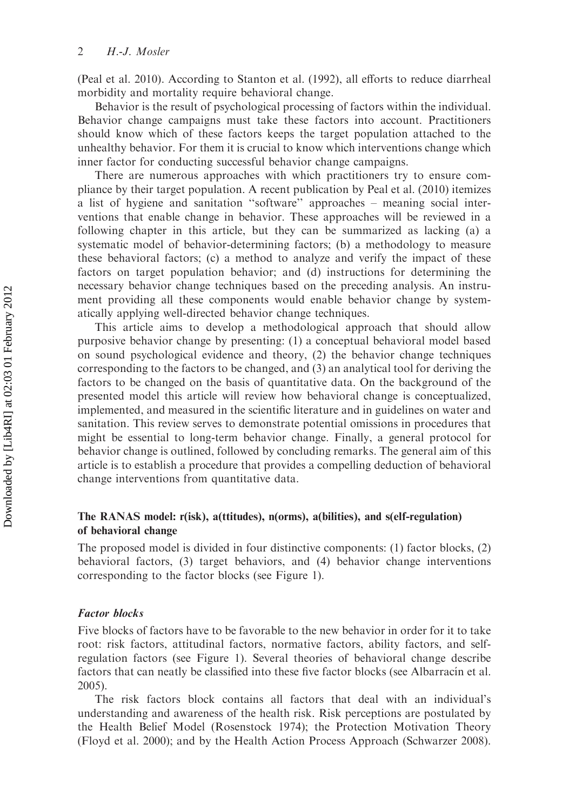(Peal et al. 2010). According to Stanton et al. (1992), all efforts to reduce diarrheal morbidity and mortality require behavioral change.

Behavior is the result of psychological processing of factors within the individual. Behavior change campaigns must take these factors into account. Practitioners should know which of these factors keeps the target population attached to the unhealthy behavior. For them it is crucial to know which interventions change which inner factor for conducting successful behavior change campaigns.

There are numerous approaches with which practitioners try to ensure compliance by their target population. A recent publication by Peal et al. (2010) itemizes a list of hygiene and sanitation ''software'' approaches – meaning social interventions that enable change in behavior. These approaches will be reviewed in a following chapter in this article, but they can be summarized as lacking (a) a systematic model of behavior-determining factors; (b) a methodology to measure these behavioral factors; (c) a method to analyze and verify the impact of these factors on target population behavior; and (d) instructions for determining the necessary behavior change techniques based on the preceding analysis. An instrument providing all these components would enable behavior change by systematically applying well-directed behavior change techniques.

This article aims to develop a methodological approach that should allow purposive behavior change by presenting: (1) a conceptual behavioral model based on sound psychological evidence and theory, (2) the behavior change techniques corresponding to the factors to be changed, and (3) an analytical tool for deriving the factors to be changed on the basis of quantitative data. On the background of the presented model this article will review how behavioral change is conceptualized, implemented, and measured in the scientific literature and in guidelines on water and sanitation. This review serves to demonstrate potential omissions in procedures that might be essential to long-term behavior change. Finally, a general protocol for behavior change is outlined, followed by concluding remarks. The general aim of this article is to establish a procedure that provides a compelling deduction of behavioral change interventions from quantitative data.

## The RANAS model: r(isk), a(ttitudes), n(orms), a(bilities), and s(elf-regulation) of behavioral change

The proposed model is divided in four distinctive components: (1) factor blocks, (2) behavioral factors, (3) target behaviors, and (4) behavior change interventions corresponding to the factor blocks (see Figure 1).

## Factor blocks

Five blocks of factors have to be favorable to the new behavior in order for it to take root: risk factors, attitudinal factors, normative factors, ability factors, and selfregulation factors (see Figure 1). Several theories of behavioral change describe factors that can neatly be classified into these five factor blocks (see Albarracin et al. 2005).

The risk factors block contains all factors that deal with an individual's understanding and awareness of the health risk. Risk perceptions are postulated by the Health Belief Model (Rosenstock 1974); the Protection Motivation Theory (Floyd et al. 2000); and by the Health Action Process Approach (Schwarzer 2008).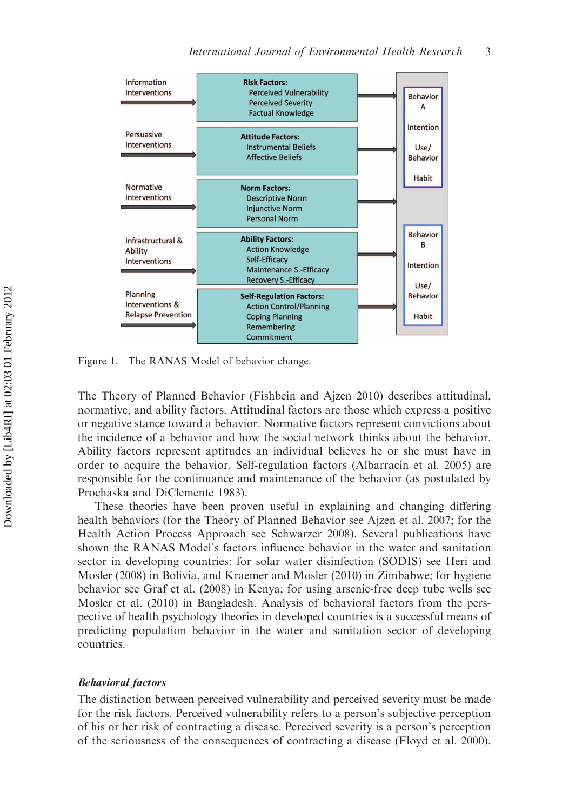

Figure 1. The RANAS Model of behavior change.

The Theory of Planned Behavior (Fishbein and Ajzen 2010) describes attitudinal, normative, and ability factors. Attitudinal factors are those which express a positive or negative stance toward a behavior. Normative factors represent convictions about the incidence of a behavior and how the social network thinks about the behavior. Ability factors represent aptitudes an individual believes he or she must have in order to acquire the behavior. Self-regulation factors (Albarracín et al. 2005) are responsible for the continuance and maintenance of the behavior (as postulated by Prochaska and DiClemente 1983).

These theories have been proven useful in explaining and changing differing health behaviors (for the Theory of Planned Behavior see Ajzen et al. 2007; for the Health Action Process Approach see Schwarzer 2008). Several publications have shown the RANAS Model's factors influence behavior in the water and sanitation sector in developing countries: for solar water disinfection (SODIS) see Heri and Mosler (2008) in Bolivia, and Kraemer and Mosler (2010) in Zimbabwe; for hygiene behavior see Graf et al. (2008) in Kenya; for using arsenic-free deep tube wells see Mosler et al. (2010) in Bangladesh. Analysis of behavioral factors from the perspective of health psychology theories in developed countries is a successful means of predicting population behavior in the water and sanitation sector of developing countries.

## Behavioral factors

The distinction between perceived vulnerability and perceived severity must be made for the risk factors. Perceived vulnerability refers to a person's subjective perception of his or her risk of contracting a disease. Perceived severity is a person's perception of the seriousness of the consequences of contracting a disease (Floyd et al. 2000).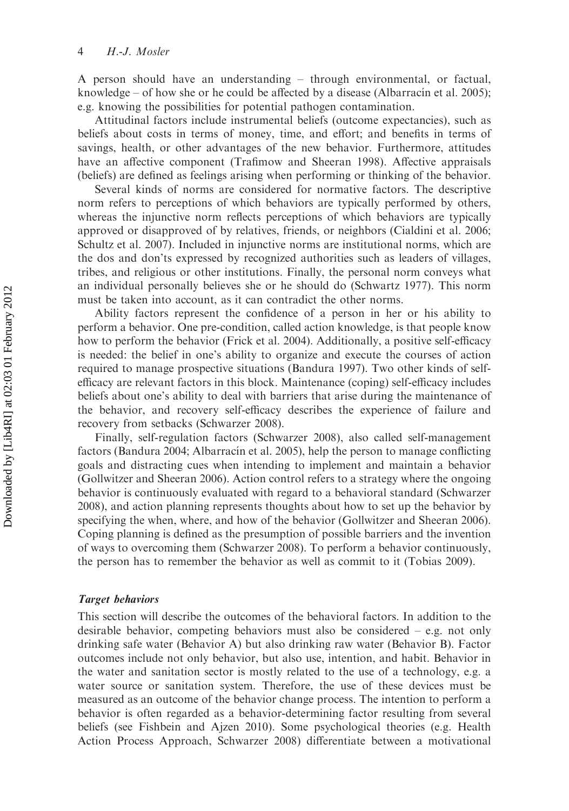A person should have an understanding – through environmental, or factual, knowledge – of how she or he could be affected by a disease (Albarracin et al. 2005); e.g. knowing the possibilities for potential pathogen contamination.

Attitudinal factors include instrumental beliefs (outcome expectancies), such as beliefs about costs in terms of money, time, and effort; and benefits in terms of savings, health, or other advantages of the new behavior. Furthermore, attitudes have an affective component (Trafimow and Sheeran 1998). Affective appraisals (beliefs) are defined as feelings arising when performing or thinking of the behavior.

Several kinds of norms are considered for normative factors. The descriptive norm refers to perceptions of which behaviors are typically performed by others, whereas the injunctive norm reflects perceptions of which behaviors are typically approved or disapproved of by relatives, friends, or neighbors (Cialdini et al. 2006; Schultz et al. 2007). Included in injunctive norms are institutional norms, which are the dos and don'ts expressed by recognized authorities such as leaders of villages, tribes, and religious or other institutions. Finally, the personal norm conveys what an individual personally believes she or he should do (Schwartz 1977). This norm must be taken into account, as it can contradict the other norms.

Ability factors represent the confidence of a person in her or his ability to perform a behavior. One pre-condition, called action knowledge, is that people know how to perform the behavior (Frick et al. 2004). Additionally, a positive self-efficacy is needed: the belief in one's ability to organize and execute the courses of action required to manage prospective situations (Bandura 1997). Two other kinds of selfefficacy are relevant factors in this block. Maintenance (coping) self-efficacy includes beliefs about one's ability to deal with barriers that arise during the maintenance of the behavior, and recovery self-efficacy describes the experience of failure and recovery from setbacks (Schwarzer 2008).

Finally, self-regulation factors (Schwarzer 2008), also called self-management factors (Bandura 2004; Albarracín et al. 2005), help the person to manage conflicting goals and distracting cues when intending to implement and maintain a behavior (Gollwitzer and Sheeran 2006). Action control refers to a strategy where the ongoing behavior is continuously evaluated with regard to a behavioral standard (Schwarzer 2008), and action planning represents thoughts about how to set up the behavior by specifying the when, where, and how of the behavior (Gollwitzer and Sheeran 2006). Coping planning is defined as the presumption of possible barriers and the invention of ways to overcoming them (Schwarzer 2008). To perform a behavior continuously, the person has to remember the behavior as well as commit to it (Tobias 2009).

#### Target behaviors

This section will describe the outcomes of the behavioral factors. In addition to the desirable behavior, competing behaviors must also be considered – e.g. not only drinking safe water (Behavior A) but also drinking raw water (Behavior B). Factor outcomes include not only behavior, but also use, intention, and habit. Behavior in the water and sanitation sector is mostly related to the use of a technology, e.g. a water source or sanitation system. Therefore, the use of these devices must be measured as an outcome of the behavior change process. The intention to perform a behavior is often regarded as a behavior-determining factor resulting from several beliefs (see Fishbein and Ajzen 2010). Some psychological theories (e.g. Health Action Process Approach, Schwarzer 2008) differentiate between a motivational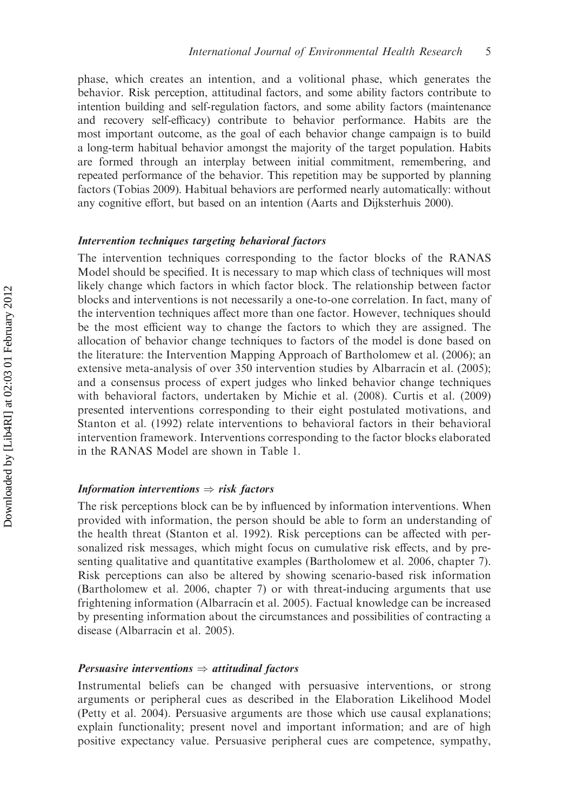phase, which creates an intention, and a volitional phase, which generates the behavior. Risk perception, attitudinal factors, and some ability factors contribute to intention building and self-regulation factors, and some ability factors (maintenance and recovery self-efficacy) contribute to behavior performance. Habits are the most important outcome, as the goal of each behavior change campaign is to build a long-term habitual behavior amongst the majority of the target population. Habits are formed through an interplay between initial commitment, remembering, and repeated performance of the behavior. This repetition may be supported by planning factors (Tobias 2009). Habitual behaviors are performed nearly automatically: without any cognitive effort, but based on an intention (Aarts and Dijksterhuis 2000).

#### Intervention techniques targeting behavioral factors

The intervention techniques corresponding to the factor blocks of the RANAS Model should be specified. It is necessary to map which class of techniques will most likely change which factors in which factor block. The relationship between factor blocks and interventions is not necessarily a one-to-one correlation. In fact, many of the intervention techniques affect more than one factor. However, techniques should be the most efficient way to change the factors to which they are assigned. The allocation of behavior change techniques to factors of the model is done based on the literature: the Intervention Mapping Approach of Bartholomew et al. (2006); an extensive meta-analysis of over 350 intervention studies by Albarracín et al. (2005); and a consensus process of expert judges who linked behavior change techniques with behavioral factors, undertaken by Michie et al. (2008). Curtis et al. (2009) presented interventions corresponding to their eight postulated motivations, and Stanton et al. (1992) relate interventions to behavioral factors in their behavioral intervention framework. Interventions corresponding to the factor blocks elaborated in the RANAS Model are shown in Table 1.

#### Information interventions  $\Rightarrow$  risk factors

The risk perceptions block can be by influenced by information interventions. When provided with information, the person should be able to form an understanding of the health threat (Stanton et al. 1992). Risk perceptions can be affected with personalized risk messages, which might focus on cumulative risk effects, and by presenting qualitative and quantitative examples (Bartholomew et al. 2006, chapter 7). Risk perceptions can also be altered by showing scenario-based risk information (Bartholomew et al. 2006, chapter 7) or with threat-inducing arguments that use frightening information (Albarracín et al. 2005). Factual knowledge can be increased by presenting information about the circumstances and possibilities of contracting a disease (Albarracín et al. 2005).

#### Persuasive interventions  $\Rightarrow$  attitudinal factors

Instrumental beliefs can be changed with persuasive interventions, or strong arguments or peripheral cues as described in the Elaboration Likelihood Model (Petty et al. 2004). Persuasive arguments are those which use causal explanations; explain functionality; present novel and important information; and are of high positive expectancy value. Persuasive peripheral cues are competence, sympathy,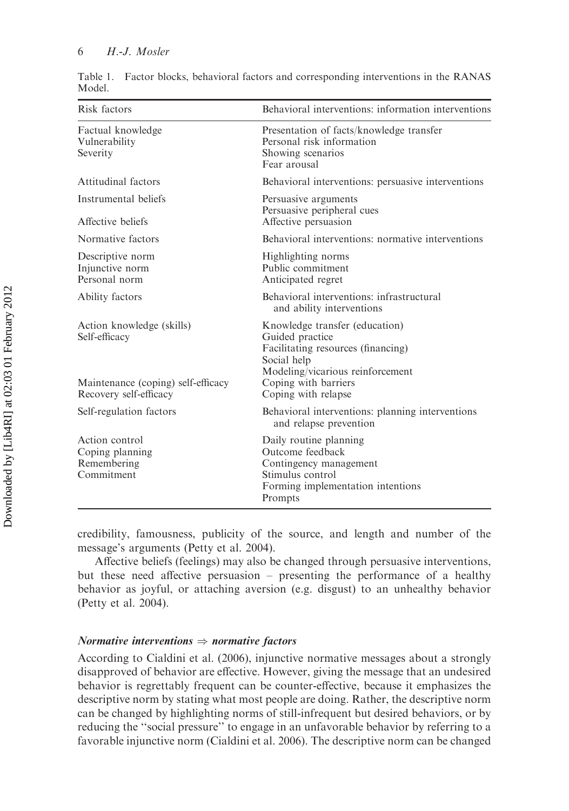| Risk factors                                                   | Behavioral interventions: information interventions                                                                                        |
|----------------------------------------------------------------|--------------------------------------------------------------------------------------------------------------------------------------------|
| Factual knowledge<br>Vulnerability<br>Severity                 | Presentation of facts/knowledge transfer<br>Personal risk information<br>Showing scenarios<br>Fear arousal                                 |
| Attitudinal factors                                            | Behavioral interventions: persuasive interventions                                                                                         |
| Instrumental beliefs<br>Affective beliefs                      | Persuasive arguments<br>Persuasive peripheral cues<br>Affective persuasion                                                                 |
| Normative factors                                              | Behavioral interventions: normative interventions                                                                                          |
| Descriptive norm<br>Injunctive norm<br>Personal norm           | Highlighting norms<br>Public commitment<br>Anticipated regret                                                                              |
| Ability factors                                                | Behavioral interventions: infrastructural<br>and ability interventions                                                                     |
| Action knowledge (skills)<br>Self-efficacy                     | Knowledge transfer (education)<br>Guided practice<br>Facilitating resources (financing)<br>Social help<br>Modeling/vicarious reinforcement |
| Maintenance (coping) self-efficacy<br>Recovery self-efficacy   | Coping with barriers<br>Coping with relapse                                                                                                |
| Self-regulation factors                                        | Behavioral interventions: planning interventions<br>and relapse prevention                                                                 |
| Action control<br>Coping planning<br>Remembering<br>Commitment | Daily routine planning<br>Outcome feedback<br>Contingency management<br>Stimulus control<br>Forming implementation intentions<br>Prompts   |

Table 1. Factor blocks, behavioral factors and corresponding interventions in the RANAS Model.

credibility, famousness, publicity of the source, and length and number of the message's arguments (Petty et al. 2004).

Affective beliefs (feelings) may also be changed through persuasive interventions, but these need affective persuasion – presenting the performance of a healthy behavior as joyful, or attaching aversion (e.g. disgust) to an unhealthy behavior (Petty et al. 2004).

## Normative interventions  $\Rightarrow$  normative factors

According to Cialdini et al. (2006), injunctive normative messages about a strongly disapproved of behavior are effective. However, giving the message that an undesired behavior is regrettably frequent can be counter-effective, because it emphasizes the descriptive norm by stating what most people are doing. Rather, the descriptive norm can be changed by highlighting norms of still-infrequent but desired behaviors, or by reducing the ''social pressure'' to engage in an unfavorable behavior by referring to a favorable injunctive norm (Cialdini et al. 2006). The descriptive norm can be changed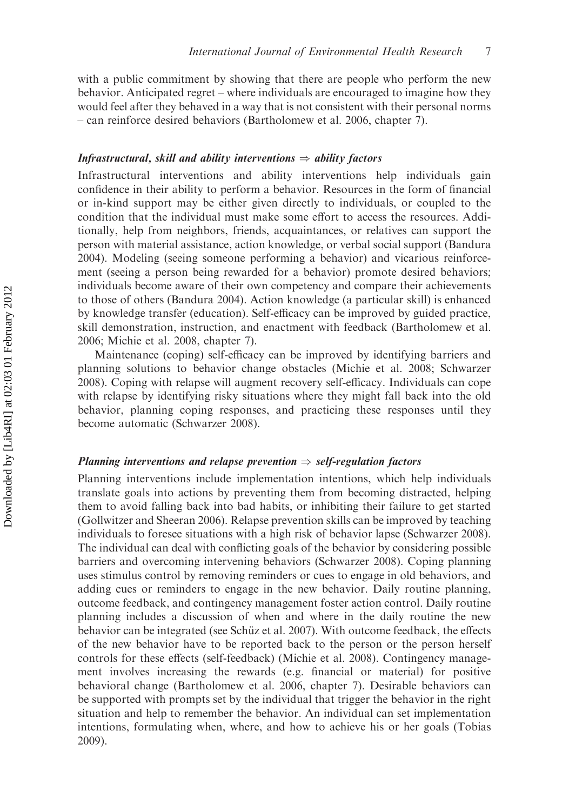with a public commitment by showing that there are people who perform the new behavior. Anticipated regret – where individuals are encouraged to imagine how they would feel after they behaved in a way that is not consistent with their personal norms – can reinforce desired behaviors (Bartholomew et al. 2006, chapter 7).

#### Infrastructural, skill and ability interventions  $\Rightarrow$  ability factors

Infrastructural interventions and ability interventions help individuals gain confidence in their ability to perform a behavior. Resources in the form of financial or in-kind support may be either given directly to individuals, or coupled to the condition that the individual must make some effort to access the resources. Additionally, help from neighbors, friends, acquaintances, or relatives can support the person with material assistance, action knowledge, or verbal social support (Bandura 2004). Modeling (seeing someone performing a behavior) and vicarious reinforcement (seeing a person being rewarded for a behavior) promote desired behaviors; individuals become aware of their own competency and compare their achievements to those of others (Bandura 2004). Action knowledge (a particular skill) is enhanced by knowledge transfer (education). Self-efficacy can be improved by guided practice, skill demonstration, instruction, and enactment with feedback (Bartholomew et al. 2006; Michie et al. 2008, chapter 7).

Maintenance (coping) self-efficacy can be improved by identifying barriers and planning solutions to behavior change obstacles (Michie et al. 2008; Schwarzer 2008). Coping with relapse will augment recovery self-efficacy. Individuals can cope with relapse by identifying risky situations where they might fall back into the old behavior, planning coping responses, and practicing these responses until they become automatic (Schwarzer 2008).

#### Planning interventions and relapse prevention  $\Rightarrow$  self-regulation factors

Planning interventions include implementation intentions, which help individuals translate goals into actions by preventing them from becoming distracted, helping them to avoid falling back into bad habits, or inhibiting their failure to get started (Gollwitzer and Sheeran 2006). Relapse prevention skills can be improved by teaching individuals to foresee situations with a high risk of behavior lapse (Schwarzer 2008). The individual can deal with conflicting goals of the behavior by considering possible barriers and overcoming intervening behaviors (Schwarzer 2008). Coping planning uses stimulus control by removing reminders or cues to engage in old behaviors, and adding cues or reminders to engage in the new behavior. Daily routine planning, outcome feedback, and contingency management foster action control. Daily routine planning includes a discussion of when and where in the daily routine the new behavior can be integrated (see Schüz et al. 2007). With outcome feedback, the effects of the new behavior have to be reported back to the person or the person herself controls for these effects (self-feedback) (Michie et al. 2008). Contingency management involves increasing the rewards (e.g. financial or material) for positive behavioral change (Bartholomew et al. 2006, chapter 7). Desirable behaviors can be supported with prompts set by the individual that trigger the behavior in the right situation and help to remember the behavior. An individual can set implementation intentions, formulating when, where, and how to achieve his or her goals (Tobias 2009).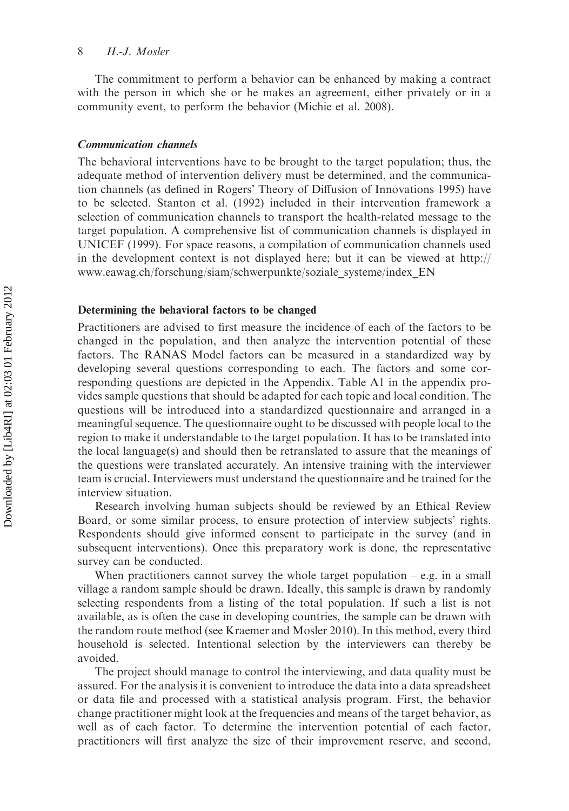#### 8 H.-J. Mosler

The commitment to perform a behavior can be enhanced by making a contract with the person in which she or he makes an agreement, either privately or in a community event, to perform the behavior (Michie et al. 2008).

## Communication channels

The behavioral interventions have to be brought to the target population; thus, the adequate method of intervention delivery must be determined, and the communication channels (as defined in Rogers' Theory of Diffusion of Innovations 1995) have to be selected. Stanton et al. (1992) included in their intervention framework a selection of communication channels to transport the health-related message to the target population. A comprehensive list of communication channels is displayed in UNICEF (1999). For space reasons, a compilation of communication channels used in the development context is not displayed here; but it can be viewed at [http://](http://www.eawag.ch/forschung/siam/schwerpunkte/soziale_systeme/index_EN) [www.eawag.ch/forschung/siam/schwerpunkte/soziale\\_systeme/index\\_EN](http://www.eawag.ch/forschung/siam/schwerpunkte/soziale_systeme/index_EN)

#### Determining the behavioral factors to be changed

Practitioners are advised to first measure the incidence of each of the factors to be changed in the population, and then analyze the intervention potential of these factors. The RANAS Model factors can be measured in a standardized way by developing several questions corresponding to each. The factors and some corresponding questions are depicted in the Appendix. Table A1 in the appendix provides sample questions that should be adapted for each topic and local condition. The questions will be introduced into a standardized questionnaire and arranged in a meaningful sequence. The questionnaire ought to be discussed with people local to the region to make it understandable to the target population. It has to be translated into the local language(s) and should then be retranslated to assure that the meanings of the questions were translated accurately. An intensive training with the interviewer team is crucial. Interviewers must understand the questionnaire and be trained for the interview situation.

Research involving human subjects should be reviewed by an Ethical Review Board, or some similar process, to ensure protection of interview subjects' rights. Respondents should give informed consent to participate in the survey (and in subsequent interventions). Once this preparatory work is done, the representative survey can be conducted.

When practitioners cannot survey the whole target population  $-e.g.$  in a small village a random sample should be drawn. Ideally, this sample is drawn by randomly selecting respondents from a listing of the total population. If such a list is not available, as is often the case in developing countries, the sample can be drawn with the random route method (see Kraemer and Mosler 2010). In this method, every third household is selected. Intentional selection by the interviewers can thereby be avoided.

The project should manage to control the interviewing, and data quality must be assured. For the analysis it is convenient to introduce the data into a data spreadsheet or data file and processed with a statistical analysis program. First, the behavior change practitioner might look at the frequencies and means of the target behavior, as well as of each factor. To determine the intervention potential of each factor, practitioners will first analyze the size of their improvement reserve, and second,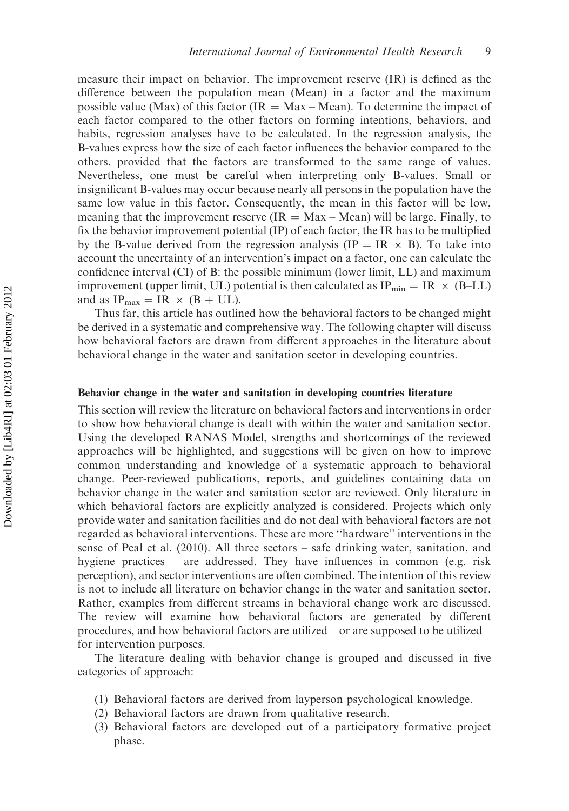measure their impact on behavior. The improvement reserve (IR) is defined as the difference between the population mean (Mean) in a factor and the maximum possible value (Max) of this factor (IR = Max – Mean). To determine the impact of each factor compared to the other factors on forming intentions, behaviors, and habits, regression analyses have to be calculated. In the regression analysis, the B-values express how the size of each factor influences the behavior compared to the others, provided that the factors are transformed to the same range of values. Nevertheless, one must be careful when interpreting only B-values. Small or insignificant B-values may occur because nearly all persons in the population have the same low value in this factor. Consequently, the mean in this factor will be low, meaning that the improvement reserve  $(IR = Max - Mean)$  will be large. Finally, to fix the behavior improvement potential (IP) of each factor, the IR has to be multiplied by the B-value derived from the regression analysis (IP = IR  $\times$  B). To take into account the uncertainty of an intervention's impact on a factor, one can calculate the confidence interval (CI) of B: the possible minimum (lower limit, LL) and maximum improvement (upper limit, UL) potential is then calculated as IP<sub>min</sub> = IR  $\times$  (B–LL) and as  $IP_{\text{max}} = IR \times (B + UL)$ .

Thus far, this article has outlined how the behavioral factors to be changed might be derived in a systematic and comprehensive way. The following chapter will discuss how behavioral factors are drawn from different approaches in the literature about behavioral change in the water and sanitation sector in developing countries.

#### Behavior change in the water and sanitation in developing countries literature

This section will review the literature on behavioral factors and interventions in order to show how behavioral change is dealt with within the water and sanitation sector. Using the developed RANAS Model, strengths and shortcomings of the reviewed approaches will be highlighted, and suggestions will be given on how to improve common understanding and knowledge of a systematic approach to behavioral change. Peer-reviewed publications, reports, and guidelines containing data on behavior change in the water and sanitation sector are reviewed. Only literature in which behavioral factors are explicitly analyzed is considered. Projects which only provide water and sanitation facilities and do not deal with behavioral factors are not regarded as behavioral interventions. These are more ''hardware'' interventions in the sense of Peal et al. (2010). All three sectors – safe drinking water, sanitation, and hygiene practices – are addressed. They have influences in common (e.g. risk perception), and sector interventions are often combined. The intention of this review is not to include all literature on behavior change in the water and sanitation sector. Rather, examples from different streams in behavioral change work are discussed. The review will examine how behavioral factors are generated by different procedures, and how behavioral factors are utilized – or are supposed to be utilized – for intervention purposes.

The literature dealing with behavior change is grouped and discussed in five categories of approach:

- (1) Behavioral factors are derived from layperson psychological knowledge.
- (2) Behavioral factors are drawn from qualitative research.
- (3) Behavioral factors are developed out of a participatory formative project phase.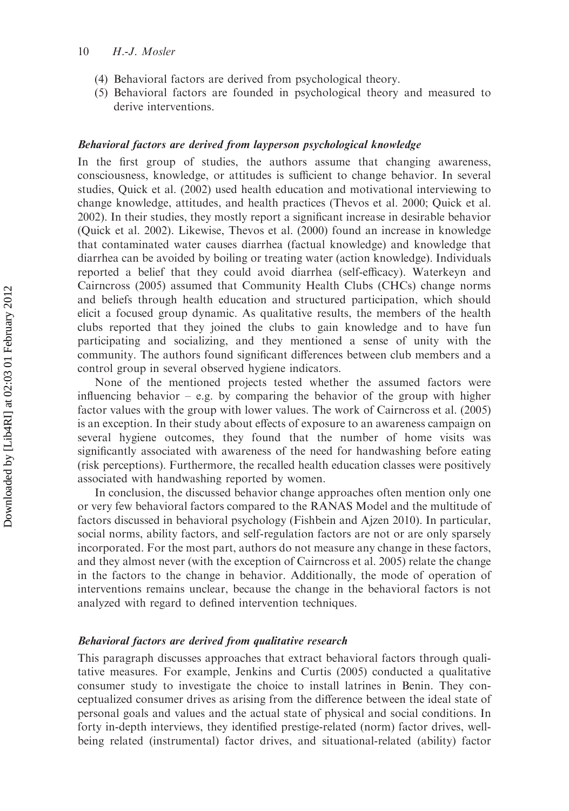- (4) Behavioral factors are derived from psychological theory.
- (5) Behavioral factors are founded in psychological theory and measured to derive interventions.

## Behavioral factors are derived from layperson psychological knowledge

In the first group of studies, the authors assume that changing awareness, consciousness, knowledge, or attitudes is sufficient to change behavior. In several studies, Quick et al. (2002) used health education and motivational interviewing to change knowledge, attitudes, and health practices (Thevos et al. 2000; Quick et al. 2002). In their studies, they mostly report a significant increase in desirable behavior (Quick et al. 2002). Likewise, Thevos et al. (2000) found an increase in knowledge that contaminated water causes diarrhea (factual knowledge) and knowledge that diarrhea can be avoided by boiling or treating water (action knowledge). Individuals reported a belief that they could avoid diarrhea (self-efficacy). Waterkeyn and Cairncross (2005) assumed that Community Health Clubs (CHCs) change norms and beliefs through health education and structured participation, which should elicit a focused group dynamic. As qualitative results, the members of the health clubs reported that they joined the clubs to gain knowledge and to have fun participating and socializing, and they mentioned a sense of unity with the community. The authors found significant differences between club members and a control group in several observed hygiene indicators.

None of the mentioned projects tested whether the assumed factors were influencing behavior – e.g. by comparing the behavior of the group with higher factor values with the group with lower values. The work of Cairncross et al. (2005) is an exception. In their study about effects of exposure to an awareness campaign on several hygiene outcomes, they found that the number of home visits was significantly associated with awareness of the need for handwashing before eating (risk perceptions). Furthermore, the recalled health education classes were positively associated with handwashing reported by women.

In conclusion, the discussed behavior change approaches often mention only one or very few behavioral factors compared to the RANAS Model and the multitude of factors discussed in behavioral psychology (Fishbein and Ajzen 2010). In particular, social norms, ability factors, and self-regulation factors are not or are only sparsely incorporated. For the most part, authors do not measure any change in these factors, and they almost never (with the exception of Cairncross et al. 2005) relate the change in the factors to the change in behavior. Additionally, the mode of operation of interventions remains unclear, because the change in the behavioral factors is not analyzed with regard to defined intervention techniques.

## Behavioral factors are derived from qualitative research

This paragraph discusses approaches that extract behavioral factors through qualitative measures. For example, Jenkins and Curtis (2005) conducted a qualitative consumer study to investigate the choice to install latrines in Benin. They conceptualized consumer drives as arising from the difference between the ideal state of personal goals and values and the actual state of physical and social conditions. In forty in-depth interviews, they identified prestige-related (norm) factor drives, wellbeing related (instrumental) factor drives, and situational-related (ability) factor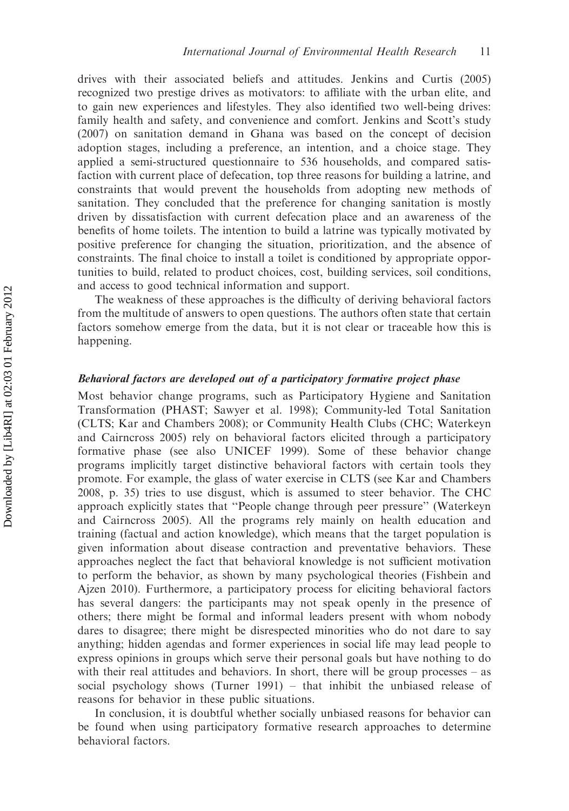drives with their associated beliefs and attitudes. Jenkins and Curtis (2005) recognized two prestige drives as motivators: to affiliate with the urban elite, and to gain new experiences and lifestyles. They also identified two well-being drives: family health and safety, and convenience and comfort. Jenkins and Scott's study (2007) on sanitation demand in Ghana was based on the concept of decision adoption stages, including a preference, an intention, and a choice stage. They applied a semi-structured questionnaire to 536 households, and compared satisfaction with current place of defecation, top three reasons for building a latrine, and constraints that would prevent the households from adopting new methods of sanitation. They concluded that the preference for changing sanitation is mostly driven by dissatisfaction with current defecation place and an awareness of the benefits of home toilets. The intention to build a latrine was typically motivated by positive preference for changing the situation, prioritization, and the absence of constraints. The final choice to install a toilet is conditioned by appropriate opportunities to build, related to product choices, cost, building services, soil conditions, and access to good technical information and support.

The weakness of these approaches is the difficulty of deriving behavioral factors from the multitude of answers to open questions. The authors often state that certain factors somehow emerge from the data, but it is not clear or traceable how this is happening.

## Behavioral factors are developed out of a participatory formative project phase

Most behavior change programs, such as Participatory Hygiene and Sanitation Transformation (PHAST; Sawyer et al. 1998); Community-led Total Sanitation (CLTS; Kar and Chambers 2008); or Community Health Clubs (CHC; Waterkeyn and Cairncross 2005) rely on behavioral factors elicited through a participatory formative phase (see also UNICEF 1999). Some of these behavior change programs implicitly target distinctive behavioral factors with certain tools they promote. For example, the glass of water exercise in CLTS (see Kar and Chambers 2008, p. 35) tries to use disgust, which is assumed to steer behavior. The CHC approach explicitly states that ''People change through peer pressure'' (Waterkeyn and Cairncross 2005). All the programs rely mainly on health education and training (factual and action knowledge), which means that the target population is given information about disease contraction and preventative behaviors. These approaches neglect the fact that behavioral knowledge is not sufficient motivation to perform the behavior, as shown by many psychological theories (Fishbein and Ajzen 2010). Furthermore, a participatory process for eliciting behavioral factors has several dangers: the participants may not speak openly in the presence of others; there might be formal and informal leaders present with whom nobody dares to disagree; there might be disrespected minorities who do not dare to say anything; hidden agendas and former experiences in social life may lead people to express opinions in groups which serve their personal goals but have nothing to do with their real attitudes and behaviors. In short, there will be group processes – as social psychology shows (Turner 1991) – that inhibit the unbiased release of reasons for behavior in these public situations.

In conclusion, it is doubtful whether socially unbiased reasons for behavior can be found when using participatory formative research approaches to determine behavioral factors.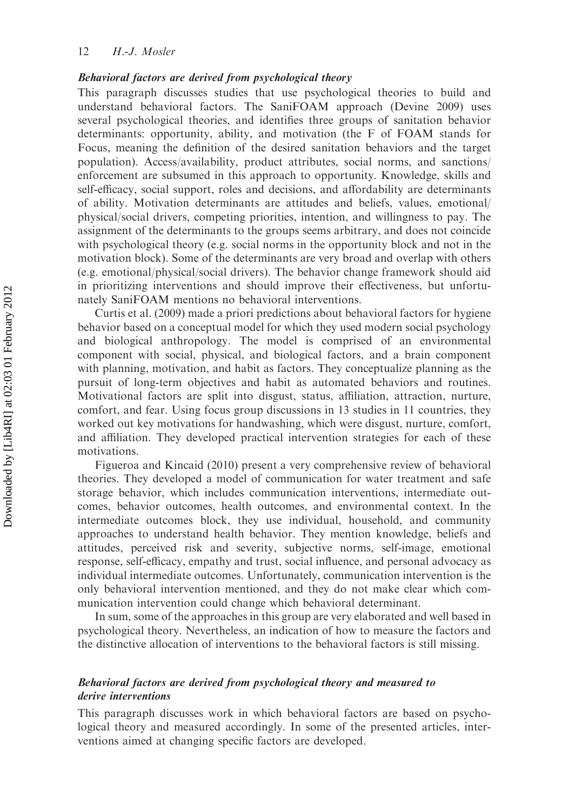#### Behavioral factors are derived from psychological theory

This paragraph discusses studies that use psychological theories to build and understand behavioral factors. The SaniFOAM approach (Devine 2009) uses several psychological theories, and identifies three groups of sanitation behavior determinants: opportunity, ability, and motivation (the F of FOAM stands for Focus, meaning the definition of the desired sanitation behaviors and the target population). Access/availability, product attributes, social norms, and sanctions/ enforcement are subsumed in this approach to opportunity. Knowledge, skills and self-efficacy, social support, roles and decisions, and affordability are determinants of ability. Motivation determinants are attitudes and beliefs, values, emotional/ physical/social drivers, competing priorities, intention, and willingness to pay. The assignment of the determinants to the groups seems arbitrary, and does not coincide with psychological theory (e.g. social norms in the opportunity block and not in the motivation block). Some of the determinants are very broad and overlap with others (e.g. emotional/physical/social drivers). The behavior change framework should aid in prioritizing interventions and should improve their effectiveness, but unfortunately SaniFOAM mentions no behavioral interventions.

Curtis et al. (2009) made a priori predictions about behavioral factors for hygiene behavior based on a conceptual model for which they used modern social psychology and biological anthropology. The model is comprised of an environmental component with social, physical, and biological factors, and a brain component with planning, motivation, and habit as factors. They conceptualize planning as the pursuit of long-term objectives and habit as automated behaviors and routines. Motivational factors are split into disgust, status, affiliation, attraction, nurture, comfort, and fear. Using focus group discussions in 13 studies in 11 countries, they worked out key motivations for handwashing, which were disgust, nurture, comfort, and affiliation. They developed practical intervention strategies for each of these motivations.

Figueroa and Kincaid (2010) present a very comprehensive review of behavioral theories. They developed a model of communication for water treatment and safe storage behavior, which includes communication interventions, intermediate outcomes, behavior outcomes, health outcomes, and environmental context. In the intermediate outcomes block, they use individual, household, and community approaches to understand health behavior. They mention knowledge, beliefs and attitudes, perceived risk and severity, subjective norms, self-image, emotional response, self-efficacy, empathy and trust, social influence, and personal advocacy as individual intermediate outcomes. Unfortunately, communication intervention is the only behavioral intervention mentioned, and they do not make clear which communication intervention could change which behavioral determinant.

In sum, some of the approaches in this group are very elaborated and well based in psychological theory. Nevertheless, an indication of how to measure the factors and the distinctive allocation of interventions to the behavioral factors is still missing.

## Behavioral factors are derived from psychological theory and measured to derive interventions

This paragraph discusses work in which behavioral factors are based on psychological theory and measured accordingly. In some of the presented articles, interventions aimed at changing specific factors are developed.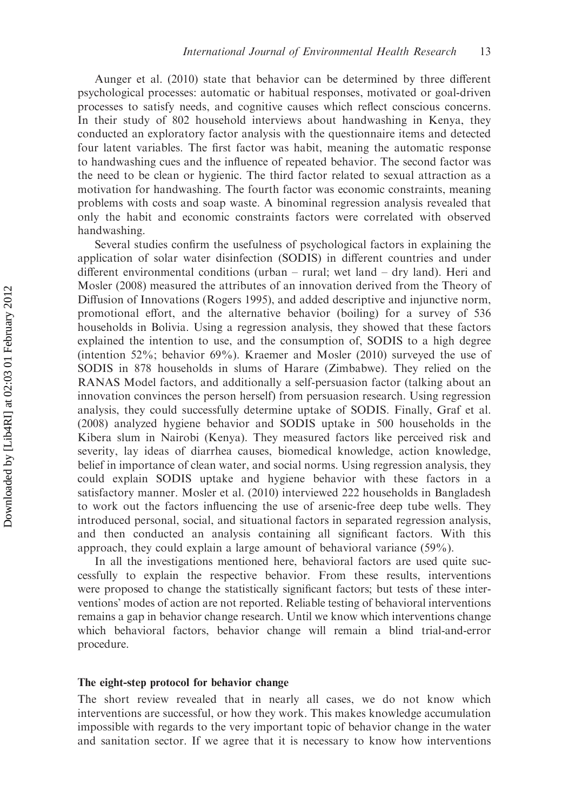Aunger et al. (2010) state that behavior can be determined by three different psychological processes: automatic or habitual responses, motivated or goal-driven processes to satisfy needs, and cognitive causes which reflect conscious concerns. In their study of 802 household interviews about handwashing in Kenya, they conducted an exploratory factor analysis with the questionnaire items and detected four latent variables. The first factor was habit, meaning the automatic response to handwashing cues and the influence of repeated behavior. The second factor was the need to be clean or hygienic. The third factor related to sexual attraction as a motivation for handwashing. The fourth factor was economic constraints, meaning problems with costs and soap waste. A binominal regression analysis revealed that only the habit and economic constraints factors were correlated with observed handwashing.

Several studies confirm the usefulness of psychological factors in explaining the application of solar water disinfection (SODIS) in different countries and under different environmental conditions (urban – rural; wet land – dry land). Heri and Mosler (2008) measured the attributes of an innovation derived from the Theory of Diffusion of Innovations (Rogers 1995), and added descriptive and injunctive norm, promotional effort, and the alternative behavior (boiling) for a survey of 536 households in Bolivia. Using a regression analysis, they showed that these factors explained the intention to use, and the consumption of, SODIS to a high degree (intention 52%; behavior 69%). Kraemer and Mosler (2010) surveyed the use of SODIS in 878 households in slums of Harare (Zimbabwe). They relied on the RANAS Model factors, and additionally a self-persuasion factor (talking about an innovation convinces the person herself) from persuasion research. Using regression analysis, they could successfully determine uptake of SODIS. Finally, Graf et al. (2008) analyzed hygiene behavior and SODIS uptake in 500 households in the Kibera slum in Nairobi (Kenya). They measured factors like perceived risk and severity, lay ideas of diarrhea causes, biomedical knowledge, action knowledge, belief in importance of clean water, and social norms. Using regression analysis, they could explain SODIS uptake and hygiene behavior with these factors in a satisfactory manner. Mosler et al. (2010) interviewed 222 households in Bangladesh to work out the factors influencing the use of arsenic-free deep tube wells. They introduced personal, social, and situational factors in separated regression analysis, and then conducted an analysis containing all significant factors. With this approach, they could explain a large amount of behavioral variance (59%).

In all the investigations mentioned here, behavioral factors are used quite successfully to explain the respective behavior. From these results, interventions were proposed to change the statistically significant factors; but tests of these interventions' modes of action are not reported. Reliable testing of behavioral interventions remains a gap in behavior change research. Until we know which interventions change which behavioral factors, behavior change will remain a blind trial-and-error procedure.

#### The eight-step protocol for behavior change

The short review revealed that in nearly all cases, we do not know which interventions are successful, or how they work. This makes knowledge accumulation impossible with regards to the very important topic of behavior change in the water and sanitation sector. If we agree that it is necessary to know how interventions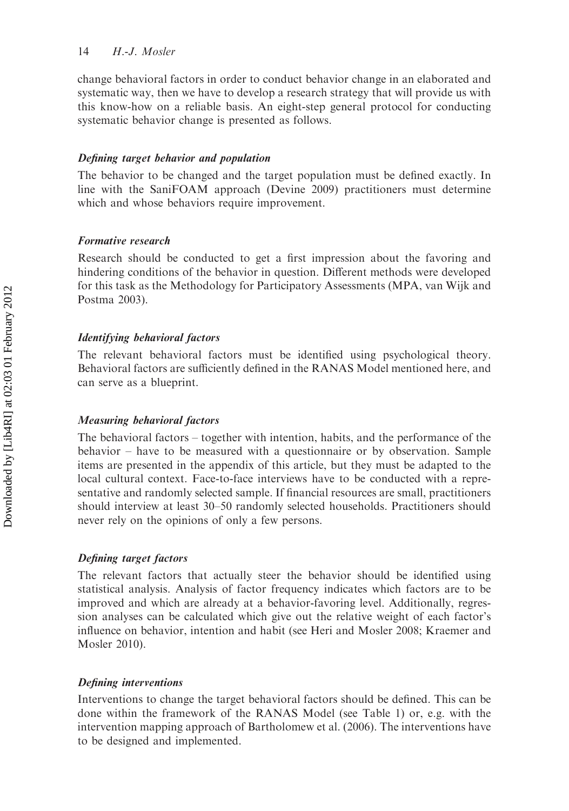## 14 H.-J. Mosler

change behavioral factors in order to conduct behavior change in an elaborated and systematic way, then we have to develop a research strategy that will provide us with this know-how on a reliable basis. An eight-step general protocol for conducting systematic behavior change is presented as follows.

## Defining target behavior and population

The behavior to be changed and the target population must be defined exactly. In line with the SaniFOAM approach (Devine 2009) practitioners must determine which and whose behaviors require improvement.

## Formative research

Research should be conducted to get a first impression about the favoring and hindering conditions of the behavior in question. Different methods were developed for this task as the Methodology for Participatory Assessments (MPA, van Wijk and Postma 2003).

## Identifying behavioral factors

The relevant behavioral factors must be identified using psychological theory. Behavioral factors are sufficiently defined in the RANAS Model mentioned here, and can serve as a blueprint.

## Measuring behavioral factors

The behavioral factors – together with intention, habits, and the performance of the behavior – have to be measured with a questionnaire or by observation. Sample items are presented in the appendix of this article, but they must be adapted to the local cultural context. Face-to-face interviews have to be conducted with a representative and randomly selected sample. If financial resources are small, practitioners should interview at least 30–50 randomly selected households. Practitioners should never rely on the opinions of only a few persons.

## Defining target factors

The relevant factors that actually steer the behavior should be identified using statistical analysis. Analysis of factor frequency indicates which factors are to be improved and which are already at a behavior-favoring level. Additionally, regression analyses can be calculated which give out the relative weight of each factor's influence on behavior, intention and habit (see Heri and Mosler 2008; Kraemer and Mosler 2010).

## Defining interventions

Interventions to change the target behavioral factors should be defined. This can be done within the framework of the RANAS Model (see Table 1) or, e.g. with the intervention mapping approach of Bartholomew et al. (2006). The interventions have to be designed and implemented.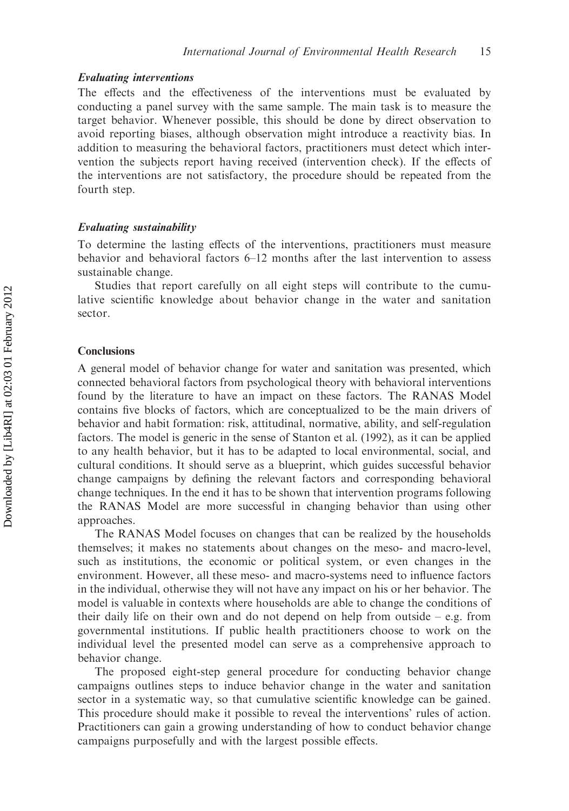#### Evaluating interventions

The effects and the effectiveness of the interventions must be evaluated by conducting a panel survey with the same sample. The main task is to measure the target behavior. Whenever possible, this should be done by direct observation to avoid reporting biases, although observation might introduce a reactivity bias. In addition to measuring the behavioral factors, practitioners must detect which intervention the subjects report having received (intervention check). If the effects of the interventions are not satisfactory, the procedure should be repeated from the fourth step.

## Evaluating sustainability

To determine the lasting effects of the interventions, practitioners must measure behavior and behavioral factors 6–12 months after the last intervention to assess sustainable change.

Studies that report carefully on all eight steps will contribute to the cumulative scientific knowledge about behavior change in the water and sanitation sector.

#### **Conclusions**

A general model of behavior change for water and sanitation was presented, which connected behavioral factors from psychological theory with behavioral interventions found by the literature to have an impact on these factors. The RANAS Model contains five blocks of factors, which are conceptualized to be the main drivers of behavior and habit formation: risk, attitudinal, normative, ability, and self-regulation factors. The model is generic in the sense of Stanton et al. (1992), as it can be applied to any health behavior, but it has to be adapted to local environmental, social, and cultural conditions. It should serve as a blueprint, which guides successful behavior change campaigns by defining the relevant factors and corresponding behavioral change techniques. In the end it has to be shown that intervention programs following the RANAS Model are more successful in changing behavior than using other approaches.

The RANAS Model focuses on changes that can be realized by the households themselves; it makes no statements about changes on the meso- and macro-level, such as institutions, the economic or political system, or even changes in the environment. However, all these meso- and macro-systems need to influence factors in the individual, otherwise they will not have any impact on his or her behavior. The model is valuable in contexts where households are able to change the conditions of their daily life on their own and do not depend on help from outside – e.g. from governmental institutions. If public health practitioners choose to work on the individual level the presented model can serve as a comprehensive approach to behavior change.

The proposed eight-step general procedure for conducting behavior change campaigns outlines steps to induce behavior change in the water and sanitation sector in a systematic way, so that cumulative scientific knowledge can be gained. This procedure should make it possible to reveal the interventions' rules of action. Practitioners can gain a growing understanding of how to conduct behavior change campaigns purposefully and with the largest possible effects.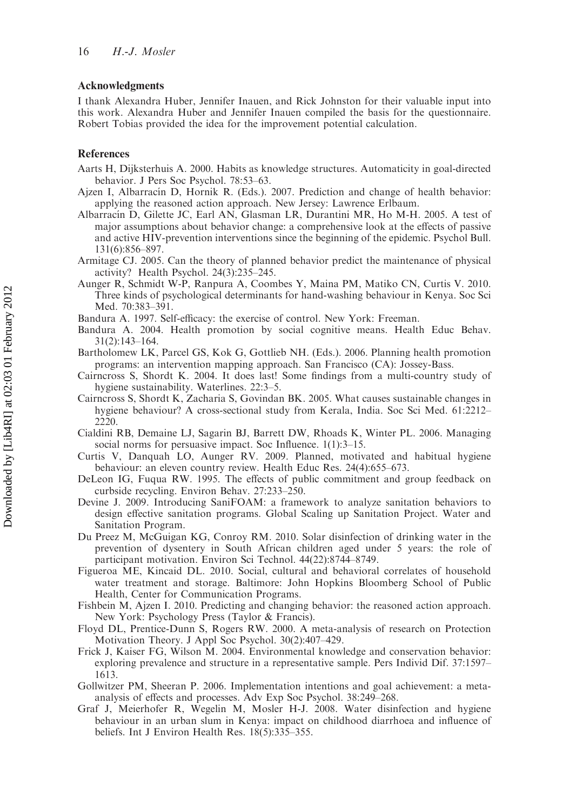#### Acknowledgments

I thank Alexandra Huber, Jennifer Inauen, and Rick Johnston for their valuable input into this work. Alexandra Huber and Jennifer Inauen compiled the basis for the questionnaire. Robert Tobias provided the idea for the improvement potential calculation.

#### **References**

- Aarts H, Dijksterhuis A. 2000. Habits as knowledge structures. Automaticity in goal-directed behavior. J Pers Soc Psychol. 78:53–63.
- Ajzen I, Albarracín D, Hornik R. (Eds.). 2007. Prediction and change of health behavior: applying the reasoned action approach. New Jersey: Lawrence Erlbaum.
- Albarracín D, Gilette JC, Earl AN, Glasman LR, Durantini MR, Ho M-H. 2005. A test of major assumptions about behavior change: a comprehensive look at the effects of passive and active HIV-prevention interventions since the beginning of the epidemic. Psychol Bull. 131(6):856–897.
- Armitage CJ. 2005. Can the theory of planned behavior predict the maintenance of physical activity? Health Psychol. 24(3):235–245.
- Aunger R, Schmidt W-P, Ranpura A, Coombes Y, Maina PM, Matiko CN, Curtis V. 2010. Three kinds of psychological determinants for hand-washing behaviour in Kenya. Soc Sci Med. 70:383–391.
- Bandura A. 1997. Self-efficacy: the exercise of control. New York: Freeman.
- Bandura A. 2004. Health promotion by social cognitive means. Health Educ Behav. 31(2):143–164.
- Bartholomew LK, Parcel GS, Kok G, Gottlieb NH. (Eds.). 2006. Planning health promotion programs: an intervention mapping approach. San Francisco (CA): Jossey-Bass.
- Cairncross S, Shordt K. 2004. It does last! Some findings from a multi-country study of hygiene sustainability. Waterlines. 22:3–5.
- Cairncross S, Shordt K, Zacharia S, Govindan BK. 2005. What causes sustainable changes in hygiene behaviour? A cross-sectional study from Kerala, India. Soc Sci Med. 61:2212– 2220.
- Cialdini RB, Demaine LJ, Sagarin BJ, Barrett DW, Rhoads K, Winter PL. 2006. Managing social norms for persuasive impact. Soc Influence. 1(1):3-15.
- Curtis V, Danquah LO, Aunger RV. 2009. Planned, motivated and habitual hygiene behaviour: an eleven country review. Health Educ Res. 24(4):655–673.
- DeLeon IG, Fuqua RW. 1995. The effects of public commitment and group feedback on curbside recycling. Environ Behav. 27:233–250.
- Devine J. 2009. Introducing SaniFOAM: a framework to analyze sanitation behaviors to design effective sanitation programs. Global Scaling up Sanitation Project. Water and Sanitation Program.
- Du Preez M, McGuigan KG, Conroy RM. 2010. Solar disinfection of drinking water in the prevention of dysentery in South African children aged under 5 years: the role of participant motivation. Environ Sci Technol. 44(22):8744–8749.
- Figueroa ME, Kincaid DL. 2010. Social, cultural and behavioral correlates of household water treatment and storage. Baltimore: John Hopkins Bloomberg School of Public Health, Center for Communication Programs.
- Fishbein M, Ajzen I. 2010. Predicting and changing behavior: the reasoned action approach. New York: Psychology Press (Taylor & Francis).
- Floyd DL, Prentice-Dunn S, Rogers RW. 2000. A meta-analysis of research on Protection Motivation Theory. J Appl Soc Psychol. 30(2):407–429.
- Frick J, Kaiser FG, Wilson M. 2004. Environmental knowledge and conservation behavior: exploring prevalence and structure in a representative sample. Pers Individ Dif. 37:1597– 1613.
- Gollwitzer PM, Sheeran P. 2006. Implementation intentions and goal achievement: a metaanalysis of effects and processes. Adv Exp Soc Psychol. 38:249–268.
- Graf J, Meierhofer R, Wegelin M, Mosler H-J. 2008. Water disinfection and hygiene behaviour in an urban slum in Kenya: impact on childhood diarrhoea and influence of beliefs. Int J Environ Health Res. 18(5):335–355.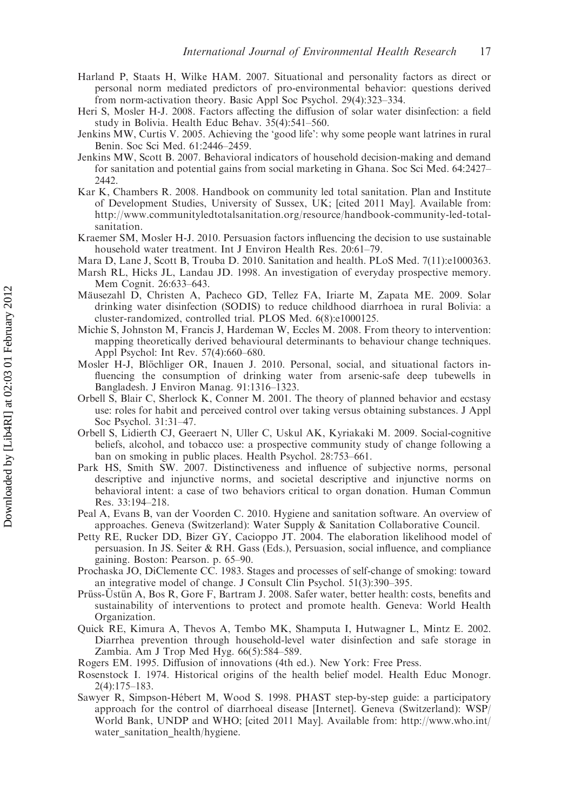- Harland P, Staats H, Wilke HAM. 2007. Situational and personality factors as direct or personal norm mediated predictors of pro-environmental behavior: questions derived from norm-activation theory. Basic Appl Soc Psychol. 29(4):323–334.
- Heri S, Mosler H-J. 2008. Factors affecting the diffusion of solar water disinfection: a field study in Bolivia. Health Educ Behav. 35(4):541–560.
- Jenkins MW, Curtis V. 2005. Achieving the 'good life': why some people want latrines in rural Benin. Soc Sci Med. 61:2446–2459.
- Jenkins MW, Scott B. 2007. Behavioral indicators of household decision-making and demand for sanitation and potential gains from social marketing in Ghana. Soc Sci Med. 64:2427– 2442.
- Kar K, Chambers R. 2008. Handbook on community led total sanitation. Plan and Institute of Development Studies, University of Sussex, UK; [cited 2011 May]. Available from: http://www.communityledtotalsanitation.org/resource/handbook-community-led-totalsanitation.
- Kraemer SM, Mosler H-J. 2010. Persuasion factors influencing the decision to use sustainable household water treatment. Int J Environ Health Res. 20:61–79.
- Mara D, Lane J, Scott B, Trouba D. 2010. Sanitation and health. PLoS Med. 7(11):e1000363.
- Marsh RL, Hicks JL, Landau JD. 1998. An investigation of everyday prospective memory. Mem Cognit. 26:633–643.
- Mäusezahl D, Christen A, Pacheco GD, Tellez FA, Iriarte M, Zapata ME. 2009. Solar drinking water disinfection (SODIS) to reduce childhood diarrhoea in rural Bolivia: a cluster-randomized, controlled trial. PLOS Med. 6(8):e1000125.
- Michie S, Johnston M, Francis J, Hardeman W, Eccles M. 2008. From theory to intervention: mapping theoretically derived behavioural determinants to behaviour change techniques. Appl Psychol: Int Rev. 57(4):660–680.
- Mosler H-J, Blöchliger OR, Inauen J. 2010. Personal, social, and situational factors influencing the consumption of drinking water from arsenic-safe deep tubewells in Bangladesh. J Environ Manag. 91:1316–1323.
- Orbell S, Blair C, Sherlock K, Conner M. 2001. The theory of planned behavior and ecstasy use: roles for habit and perceived control over taking versus obtaining substances. J Appl Soc Psychol. 31:31–47.
- Orbell S, Lidierth CJ, Geeraert N, Uller C, Uskul AK, Kyriakaki M. 2009. Social-cognitive beliefs, alcohol, and tobacco use: a prospective community study of change following a ban on smoking in public places. Health Psychol. 28:753–661.
- Park HS, Smith SW. 2007. Distinctiveness and influence of subjective norms, personal descriptive and injunctive norms, and societal descriptive and injunctive norms on behavioral intent: a case of two behaviors critical to organ donation. Human Commun Res. 33:194–218.
- Peal A, Evans B, van der Voorden C. 2010. Hygiene and sanitation software. An overview of approaches. Geneva (Switzerland): Water Supply & Sanitation Collaborative Council.
- Petty RE, Rucker DD, Bizer GY, Cacioppo JT. 2004. The elaboration likelihood model of persuasion. In JS. Seiter & RH. Gass (Eds.), Persuasion, social influence, and compliance gaining. Boston: Pearson. p. 65–90.
- Prochaska JO, DiClemente CC. 1983. Stages and processes of self-change of smoking: toward an integrative model of change. J Consult Clin Psychol. 51(3):390–395.
- Prüss-Üstün A, Bos R, Gore F, Bartram J. 2008. Safer water, better health: costs, benefits and sustainability of interventions to protect and promote health. Geneva: World Health Organization.
- Quick RE, Kimura A, Thevos A, Tembo MK, Shamputa I, Hutwagner L, Mintz E. 2002. Diarrhea prevention through household-level water disinfection and safe storage in Zambia. Am J Trop Med Hyg. 66(5):584–589.
- Rogers EM. 1995. Diffusion of innovations (4th ed.). New York: Free Press.
- Rosenstock I. 1974. Historical origins of the health belief model. Health Educ Monogr. 2(4):175–183.
- Sawyer R, Simpson-Hébert M, Wood S. 1998. PHAST step-by-step guide: a participatory approach for the control of diarrhoeal disease [Internet]. Geneva (Switzerland): WSP/ World Bank, UNDP and WHO; [cited 2011 May]. Available from: [http://www.who.int/](http://www.who.int/water_sanitation_health/hygiene) water sanitation health/hygiene.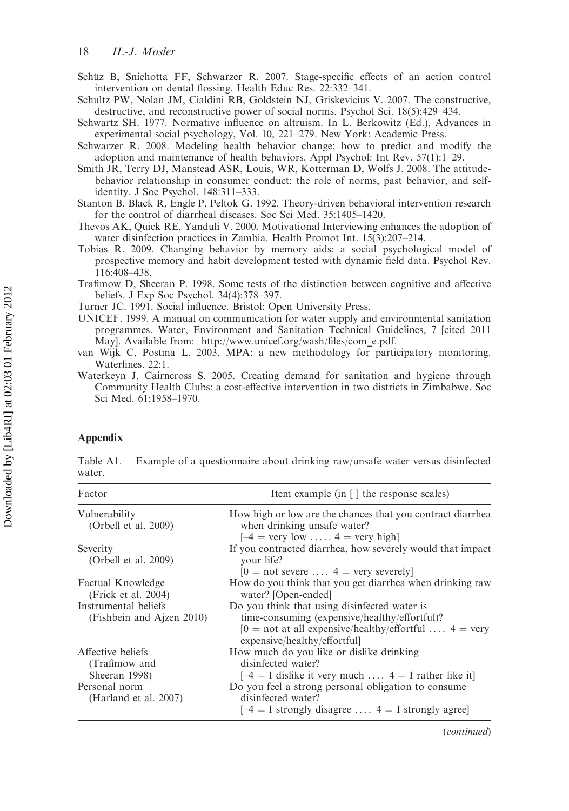- Schüz B, Sniehotta FF, Schwarzer R. 2007. Stage-specific effects of an action control intervention on dental flossing. Health Educ Res. 22:332–341.
- Schultz PW, Nolan JM, Cialdini RB, Goldstein NJ, Griskevicius V. 2007. The constructive, destructive, and reconstructive power of social norms. Psychol Sci. 18(5):429–434.
- Schwartz SH. 1977. Normative influence on altruism. In L. Berkowitz (Ed.), Advances in experimental social psychology, Vol. 10, 221–279. New York: Academic Press.
- Schwarzer R. 2008. Modeling health behavior change: how to predict and modify the adoption and maintenance of health behaviors. Appl Psychol: Int Rev. 57(1):1–29.
- Smith JR, Terry DJ, Manstead ASR, Louis, WR, Kotterman D, Wolfs J. 2008. The attitudebehavior relationship in consumer conduct: the role of norms, past behavior, and selfidentity. J Soc Psychol. 148:311–333.
- Stanton B, Black R, Engle P, Peltok G. 1992. Theory-driven behavioral intervention research for the control of diarrheal diseases. Soc Sci Med. 35:1405–1420.
- Thevos AK, Quick RE, Yanduli V. 2000. Motivational Interviewing enhances the adoption of water disinfection practices in Zambia. Health Promot Int. 15(3):207–214.
- Tobias R. 2009. Changing behavior by memory aids: a social psychological model of prospective memory and habit development tested with dynamic field data. Psychol Rev. 116:408–438.
- Trafimow D, Sheeran P. 1998. Some tests of the distinction between cognitive and affective beliefs. J Exp Soc Psychol. 34(4):378–397.
- Turner JC. 1991. Social influence. Bristol: Open University Press.
- UNICEF. 1999. A manual on communication for water supply and environmental sanitation programmes. Water, Environment and Sanitation Technical Guidelines, 7 [cited 2011 May]. Available from: [http://www.unicef.org/wash/files/com\\_e.pdf.](http://www.unicef.org/wash/files/com_e.pdf)
- van Wijk C, Postma L. 2003. MPA: a new methodology for participatory monitoring. Waterlines. 22:1.
- Waterkeyn J, Cairncross S. 2005. Creating demand for sanitation and hygiene through Community Health Clubs: a cost-effective intervention in two districts in Zimbabwe. Soc Sci Med. 61:1958–1970.

#### Appendix

Table A1. Example of a questionnaire about drinking raw/unsafe water versus disinfected water.

| Factor                                               | Item example (in $\lceil \cdot \rceil$ the response scales)                                                                                                                               |
|------------------------------------------------------|-------------------------------------------------------------------------------------------------------------------------------------------------------------------------------------------|
| Vulnerability<br>(Orbell et al. 2009)                | How high or low are the chances that you contract diarrhea<br>when drinking unsafe water?<br>$[-4]$ = very low $4$ = very high                                                            |
| Severity<br>(Orbell et al. $2009$ )                  | If you contracted diarrhea, how severely would that impact<br>your life?<br>$[0]$ = not severe  4 = very severely                                                                         |
| Factual Knowledge<br>(Frick et al. 2004)             | How do you think that you get diarrhea when drinking raw<br>water? [Open-ended]                                                                                                           |
| Instrumental beliefs<br>(Fishbein and Ajzen 2010)    | Do you think that using disinfected water is<br>time-consuming (expensive/healthy/effortful)?<br>$[0]$ = not at all expensive/healthy/effortful  4 = very<br>expensive/healthy/effortfull |
| Affective beliefs<br>(Trafimow and)<br>Sheeran 1998) | How much do you like or dislike drinking<br>disinfected water?<br>$[-4]$ = I dislike it very much $4$ = I rather like it                                                                  |
| Personal norm<br>(Harland et al. 2007)               | Do you feel a strong personal obligation to consume<br>disinfected water?<br>$[-4]$ = I strongly disagree $4$ = I strongly agree]                                                         |